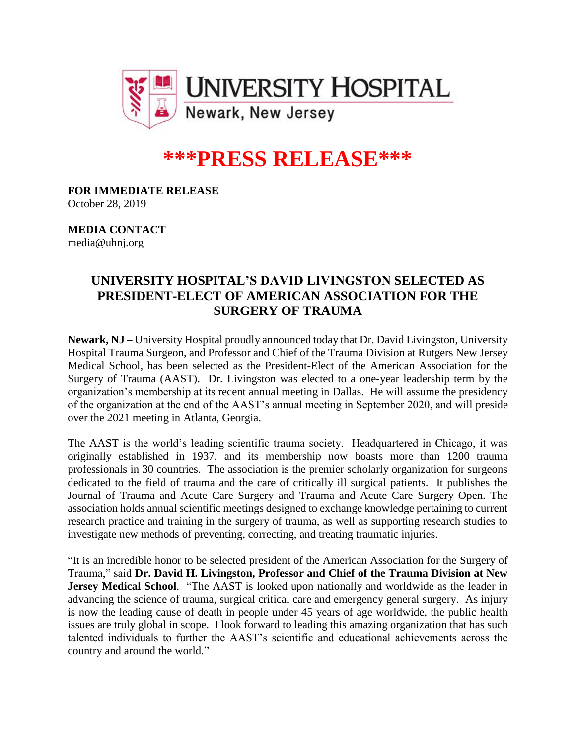

## **\*\*\*PRESS RELEASE\*\*\***

**FOR IMMEDIATE RELEASE** October 28, 2019

**MEDIA CONTACT** media@uhnj.org

## **UNIVERSITY HOSPITAL'S DAVID LIVINGSTON SELECTED AS PRESIDENT-ELECT OF AMERICAN ASSOCIATION FOR THE SURGERY OF TRAUMA**

**Newark, NJ –** University Hospital proudly announced today that Dr. David Livingston, University Hospital Trauma Surgeon, and Professor and Chief of the Trauma Division at Rutgers New Jersey Medical School, has been selected as the President-Elect of the American Association for the Surgery of Trauma (AAST). Dr. Livingston was elected to a one-year leadership term by the organization's membership at its recent annual meeting in Dallas. He will assume the presidency of the organization at the end of the AAST's annual meeting in September 2020, and will preside over the 2021 meeting in Atlanta, Georgia.

The AAST is the world's leading scientific trauma society. Headquartered in Chicago, it was originally established in 1937, and its membership now boasts more than 1200 trauma professionals in 30 countries. The association is the premier scholarly organization for surgeons dedicated to the field of trauma and the care of critically ill surgical patients. It publishes the Journal of Trauma and Acute Care Surgery and Trauma and Acute Care Surgery Open. The association holds annual scientific meetings designed to exchange knowledge pertaining to current research practice and training in the surgery of trauma, as well as supporting research studies to investigate new methods of preventing, correcting, and treating traumatic injuries.

"It is an incredible honor to be selected president of the American Association for the Surgery of Trauma," said **Dr. David H. Livingston, Professor and Chief of the Trauma Division at New Jersey Medical School**. "The AAST is looked upon nationally and worldwide as the leader in advancing the science of trauma, surgical critical care and emergency general surgery. As injury is now the leading cause of death in people under 45 years of age worldwide, the public health issues are truly global in scope. I look forward to leading this amazing organization that has such talented individuals to further the AAST's scientific and educational achievements across the country and around the world."